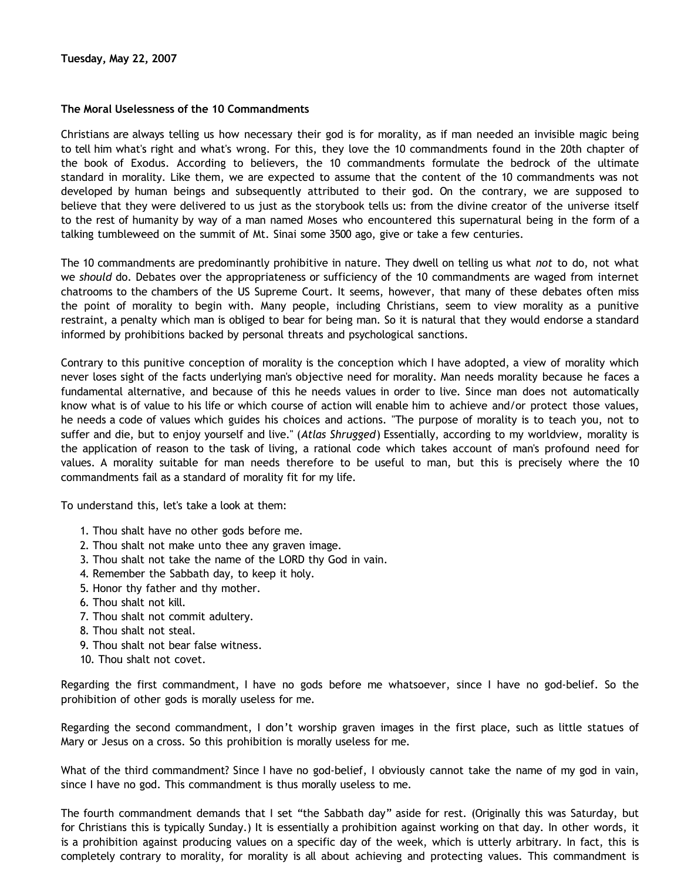## **The Moral Uselessness of the 10 Commandments**

Christians are always telling us how necessary their god is for morality, as if man needed an invisible magic being to tell him what's right and what's wrong. For this, they love the 10 commandments found in the 20th chapter of the book of Exodus. According to believers, the 10 commandments formulate the bedrock of the ultimate standard in morality. Like them, we are expected to assume that the content of the 10 commandments was not developed by human beings and subsequently attributed to their god. On the contrary, we are supposed to believe that they were delivered to us just as the storybook tells us: from the divine creator of the universe itself to the rest of humanity by way of a man named Moses who encountered this supernatural being in the form of a talking tumbleweed on the summit of Mt. Sinai some 3500 ago, give or take a few centuries.

The 10 commandments are predominantly prohibitive in nature. They dwell on telling us what *not* to do, not what we *should* do. Debates over the appropriateness or sufficiency of the 10 commandments are waged from internet chatrooms to the chambers of the US Supreme Court. It seems, however, that many of these debates often miss the point of morality to begin with. Many people, including Christians, seem to view morality as a punitive restraint, a penalty which man is obliged to bear for being man. So it is natural that they would endorse a standard informed by prohibitions backed by personal threats and psychological sanctions.

Contrary to this punitive conception of morality is the conception which I have adopted, a view of morality which never loses sight of the facts underlying man's objective need for morality. Man needs morality because he faces a fundamental alternative, and because of this he needs values in order to live. Since man does not automatically know what is of value to his life or which course of action will enable him to achieve and/or protect those values, he needs a code of values which guides his choices and actions. "The purpose of morality is to teach you, not to suffer and die, but to enjoy yourself and live." (*Atlas Shrugged*) Essentially, according to my worldview, morality is the application of reason to the task of living, a rational code which takes account of man's profound need for values. A morality suitable for man needs therefore to be useful to man, but this is precisely where the 10 commandments fail as a standard of morality fit for my life.

To understand this, let's take a look at them:

- 1. Thou shalt have no other gods before me.
- 2. Thou shalt not make unto thee any graven image.
- 3. Thou shalt not take the name of the LORD thy God in vain.
- 4. Remember the Sabbath day, to keep it holy.
- 5. Honor thy father and thy mother.
- 6. Thou shalt not kill.
- 7. Thou shalt not commit adultery.
- 8. Thou shalt not steal.
- 9. Thou shalt not bear false witness.
- 10. Thou shalt not covet.

Regarding the first commandment, I have no gods before me whatsoever, since I have no god-belief. So the prohibition of other gods is morally useless for me.

Regarding the second commandment, I don't worship graven images in the first place, such as little statues of Mary or Jesus on a cross. So this prohibition is morally useless for me.

What of the third commandment? Since I have no god-belief, I obviously cannot take the name of my god in vain, since I have no god. This commandment is thus morally useless to me.

The fourth commandment demands that I set "the Sabbath day" aside for rest. (Originally this was Saturday, but for Christians this is typically Sunday.) It is essentially a prohibition against working on that day. In other words, it is a prohibition against producing values on a specific day of the week, which is utterly arbitrary. In fact, this is completely contrary to morality, for morality is all about achieving and protecting values. This commandment is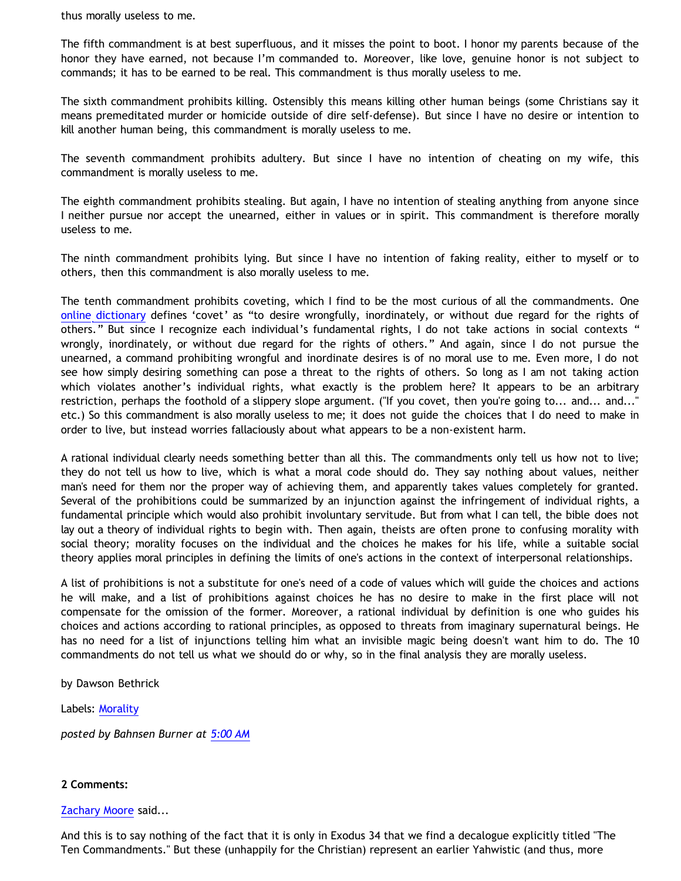thus morally useless to me.

The fifth commandment is at best superfluous, and it misses the point to boot. I honor my parents because of the honor they have earned, not because I'm commanded to. Moreover, like love, genuine honor is not subject to commands; it has to be earned to be real. This commandment is thus morally useless to me.

The sixth commandment prohibits killing. Ostensibly this means killing other human beings (some Christians say it means premeditated murder or homicide outside of dire self-defense). But since I have no desire or intention to kill another human being, this commandment is morally useless to me.

The seventh commandment prohibits adultery. But since I have no intention of cheating on my wife, this commandment is morally useless to me.

The eighth commandment prohibits stealing. But again, I have no intention of stealing anything from anyone since I neither pursue nor accept the unearned, either in values or in spirit. This commandment is therefore morally useless to me.

The ninth commandment prohibits lying. But since I have no intention of faking reality, either to myself or to others, then this commandment is also morally useless to me.

The tenth commandment prohibits coveting, which I find to be the most curious of all the commandments. One [online dictionary](http://dictionary.reference.com/browse/covet) defines 'covet' as "to desire wrongfully, inordinately, or without due regard for the rights of others." But since I recognize each individual's fundamental rights, I do not take actions in social contexts " wrongly, inordinately, or without due regard for the rights of others." And again, since I do not pursue the unearned, a command prohibiting wrongful and inordinate desires is of no moral use to me. Even more, I do not see how simply desiring something can pose a threat to the rights of others. So long as I am not taking action which violates another's individual rights, what exactly is the problem here? It appears to be an arbitrary restriction, perhaps the foothold of a slippery slope argument. ("If you covet, then you're going to... and... and..." etc.) So this commandment is also morally useless to me; it does not guide the choices that I do need to make in order to live, but instead worries fallaciously about what appears to be a non-existent harm.

A rational individual clearly needs something better than all this. The commandments only tell us how not to live; they do not tell us how to live, which is what a moral code should do. They say nothing about values, neither man's need for them nor the proper way of achieving them, and apparently takes values completely for granted. Several of the prohibitions could be summarized by an injunction against the infringement of individual rights, a fundamental principle which would also prohibit involuntary servitude. But from what I can tell, the bible does not lay out a theory of individual rights to begin with. Then again, theists are often prone to confusing morality with social theory; morality focuses on the individual and the choices he makes for his life, while a suitable social theory applies moral principles in defining the limits of one's actions in the context of interpersonal relationships.

A list of prohibitions is not a substitute for one's need of a code of values which will guide the choices and actions he will make, and a list of prohibitions against choices he has no desire to make in the first place will not compensate for the omission of the former. Moreover, a rational individual by definition is one who guides his choices and actions according to rational principles, as opposed to threats from imaginary supernatural beings. He has no need for a list of injunctions telling him what an invisible magic being doesn't want him to do. The 10 commandments do not tell us what we should do or why, so in the final analysis they are morally useless.

by Dawson Bethrick

Labels: [Morality](http://bahnsenburner.blogspot.com/search/label/Morality)

*posted by Bahnsen Burner at [5:00 AM](http://bahnsenburner.blogspot.com/2007/05/moral-uselessness-of-10-commandments.html)*

## **2 Comments:**

## [Zachary Moore](http://www.blogger.com/profile/16991061670470673718) said...

And this is to say nothing of the fact that it is only in Exodus 34 that we find a decalogue explicitly titled "The Ten Commandments." But these (unhappily for the Christian) represent an earlier Yahwistic (and thus, more